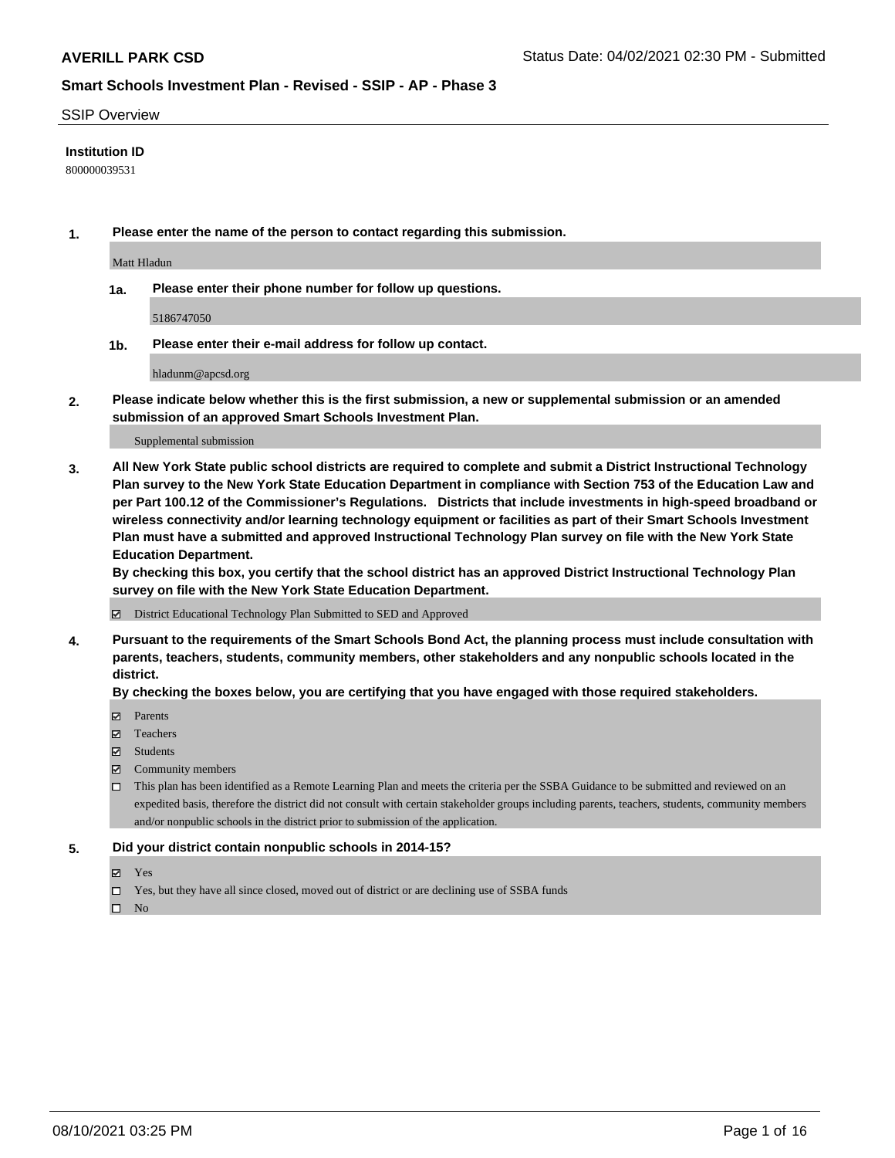### SSIP Overview

### **Institution ID**

800000039531

**1. Please enter the name of the person to contact regarding this submission.**

Matt Hladun

**1a. Please enter their phone number for follow up questions.**

5186747050

**1b. Please enter their e-mail address for follow up contact.**

hladunm@apcsd.org

**2. Please indicate below whether this is the first submission, a new or supplemental submission or an amended submission of an approved Smart Schools Investment Plan.**

#### Supplemental submission

**3. All New York State public school districts are required to complete and submit a District Instructional Technology Plan survey to the New York State Education Department in compliance with Section 753 of the Education Law and per Part 100.12 of the Commissioner's Regulations. Districts that include investments in high-speed broadband or wireless connectivity and/or learning technology equipment or facilities as part of their Smart Schools Investment Plan must have a submitted and approved Instructional Technology Plan survey on file with the New York State Education Department.** 

**By checking this box, you certify that the school district has an approved District Instructional Technology Plan survey on file with the New York State Education Department.**

District Educational Technology Plan Submitted to SED and Approved

**4. Pursuant to the requirements of the Smart Schools Bond Act, the planning process must include consultation with parents, teachers, students, community members, other stakeholders and any nonpublic schools located in the district.** 

### **By checking the boxes below, you are certifying that you have engaged with those required stakeholders.**

- **Parents**
- Teachers
- Students
- $\boxtimes$  Community members
- This plan has been identified as a Remote Learning Plan and meets the criteria per the SSBA Guidance to be submitted and reviewed on an expedited basis, therefore the district did not consult with certain stakeholder groups including parents, teachers, students, community members and/or nonpublic schools in the district prior to submission of the application.
- **5. Did your district contain nonpublic schools in 2014-15?**
	- Yes
	- □ Yes, but they have all since closed, moved out of district or are declining use of SSBA funds

 $\Box$  No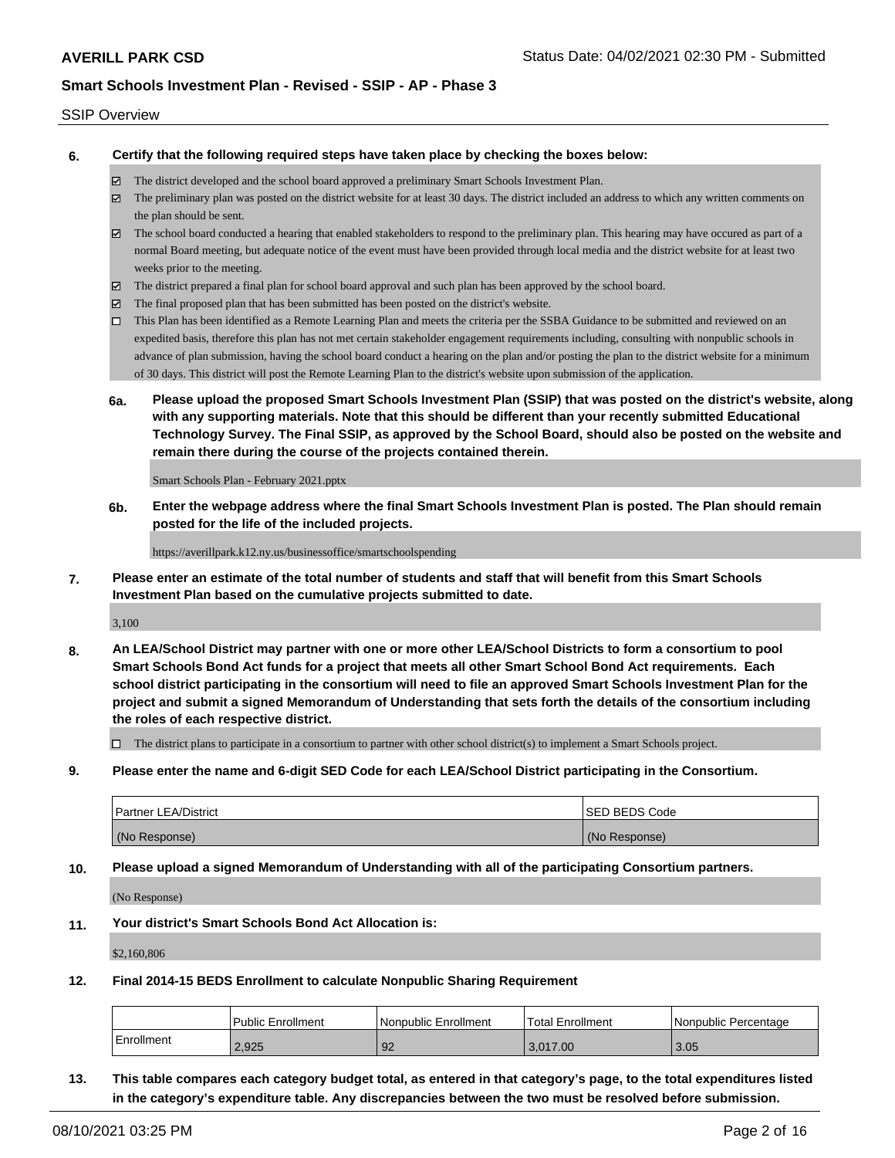### SSIP Overview

**6. Certify that the following required steps have taken place by checking the boxes below:**

- The district developed and the school board approved a preliminary Smart Schools Investment Plan.
- The preliminary plan was posted on the district website for at least 30 days. The district included an address to which any written comments on the plan should be sent.
- $\boxtimes$  The school board conducted a hearing that enabled stakeholders to respond to the preliminary plan. This hearing may have occured as part of a normal Board meeting, but adequate notice of the event must have been provided through local media and the district website for at least two weeks prior to the meeting.
- The district prepared a final plan for school board approval and such plan has been approved by the school board.
- $\boxtimes$  The final proposed plan that has been submitted has been posted on the district's website.
- This Plan has been identified as a Remote Learning Plan and meets the criteria per the SSBA Guidance to be submitted and reviewed on an expedited basis, therefore this plan has not met certain stakeholder engagement requirements including, consulting with nonpublic schools in advance of plan submission, having the school board conduct a hearing on the plan and/or posting the plan to the district website for a minimum of 30 days. This district will post the Remote Learning Plan to the district's website upon submission of the application.
- **6a. Please upload the proposed Smart Schools Investment Plan (SSIP) that was posted on the district's website, along with any supporting materials. Note that this should be different than your recently submitted Educational Technology Survey. The Final SSIP, as approved by the School Board, should also be posted on the website and remain there during the course of the projects contained therein.**

Smart Schools Plan - February 2021.pptx

**6b. Enter the webpage address where the final Smart Schools Investment Plan is posted. The Plan should remain posted for the life of the included projects.**

https://averillpark.k12.ny.us/businessoffice/smartschoolspending

**7. Please enter an estimate of the total number of students and staff that will benefit from this Smart Schools Investment Plan based on the cumulative projects submitted to date.**

3,100

**8. An LEA/School District may partner with one or more other LEA/School Districts to form a consortium to pool Smart Schools Bond Act funds for a project that meets all other Smart School Bond Act requirements. Each school district participating in the consortium will need to file an approved Smart Schools Investment Plan for the project and submit a signed Memorandum of Understanding that sets forth the details of the consortium including the roles of each respective district.**

 $\Box$  The district plans to participate in a consortium to partner with other school district(s) to implement a Smart Schools project.

**9. Please enter the name and 6-digit SED Code for each LEA/School District participating in the Consortium.**

| <b>Partner LEA/District</b> | <b>ISED BEDS Code</b> |
|-----------------------------|-----------------------|
| (No Response)               | (No Response)         |

**10. Please upload a signed Memorandum of Understanding with all of the participating Consortium partners.**

(No Response)

**11. Your district's Smart Schools Bond Act Allocation is:**

\$2,160,806

**12. Final 2014-15 BEDS Enrollment to calculate Nonpublic Sharing Requirement**

|            | Public Enrollment | Nonpublic Enrollment | Total Enrollment | l Nonpublic Percentage |
|------------|-------------------|----------------------|------------------|------------------------|
| Enrollment | 2.925             | 92                   | 3.017.00         | 3.05                   |

**13. This table compares each category budget total, as entered in that category's page, to the total expenditures listed in the category's expenditure table. Any discrepancies between the two must be resolved before submission.**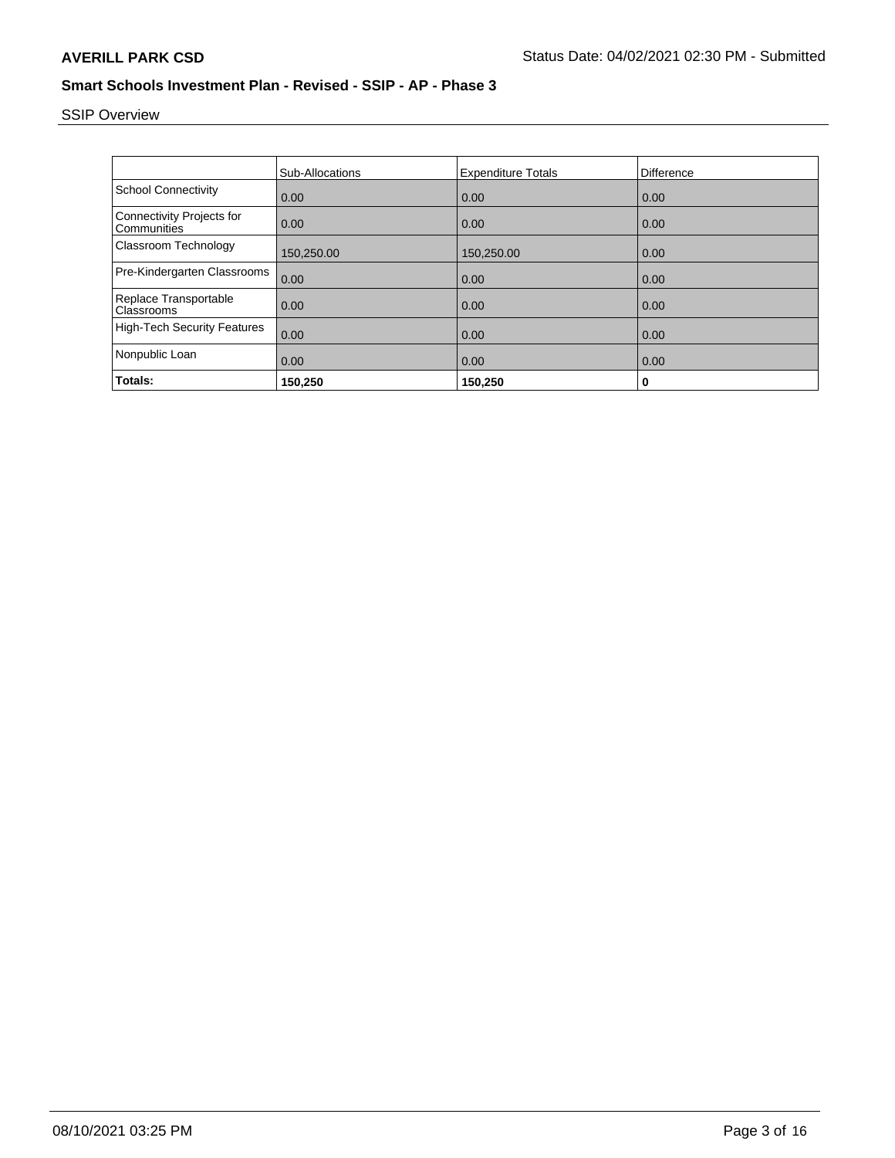# SSIP Overview

|                                          | Sub-Allocations | <b>Expenditure Totals</b> | <b>Difference</b> |
|------------------------------------------|-----------------|---------------------------|-------------------|
| <b>School Connectivity</b>               | 0.00            | 0.00                      | 0.00              |
| Connectivity Projects for<br>Communities | 0.00            | 0.00                      | 0.00              |
| Classroom Technology                     | 150,250.00      | 150,250.00                | 0.00              |
| Pre-Kindergarten Classrooms              | 0.00            | 0.00                      | 0.00              |
| Replace Transportable<br>Classrooms      | 0.00            | 0.00                      | 0.00              |
| <b>High-Tech Security Features</b>       | 0.00            | 0.00                      | 0.00              |
| Nonpublic Loan                           | 0.00            | 0.00                      | 0.00              |
| Totals:                                  | 150,250         | 150,250                   | 0                 |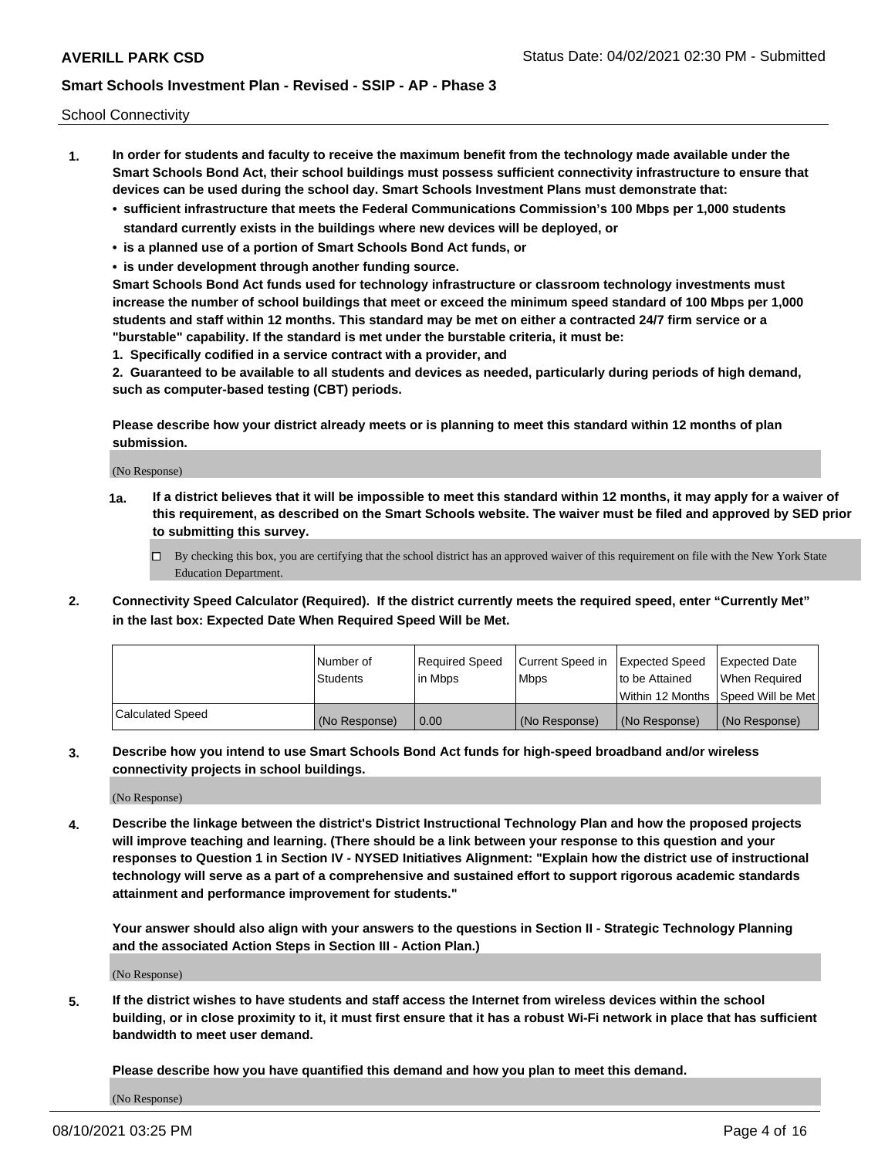School Connectivity

- **1. In order for students and faculty to receive the maximum benefit from the technology made available under the Smart Schools Bond Act, their school buildings must possess sufficient connectivity infrastructure to ensure that devices can be used during the school day. Smart Schools Investment Plans must demonstrate that:**
	- **• sufficient infrastructure that meets the Federal Communications Commission's 100 Mbps per 1,000 students standard currently exists in the buildings where new devices will be deployed, or**
	- **• is a planned use of a portion of Smart Schools Bond Act funds, or**
	- **• is under development through another funding source.**

**Smart Schools Bond Act funds used for technology infrastructure or classroom technology investments must increase the number of school buildings that meet or exceed the minimum speed standard of 100 Mbps per 1,000 students and staff within 12 months. This standard may be met on either a contracted 24/7 firm service or a "burstable" capability. If the standard is met under the burstable criteria, it must be:**

**1. Specifically codified in a service contract with a provider, and**

**2. Guaranteed to be available to all students and devices as needed, particularly during periods of high demand, such as computer-based testing (CBT) periods.**

**Please describe how your district already meets or is planning to meet this standard within 12 months of plan submission.**

(No Response)

**1a. If a district believes that it will be impossible to meet this standard within 12 months, it may apply for a waiver of this requirement, as described on the Smart Schools website. The waiver must be filed and approved by SED prior to submitting this survey.**

 $\Box$  By checking this box, you are certifying that the school district has an approved waiver of this requirement on file with the New York State Education Department.

**2. Connectivity Speed Calculator (Required). If the district currently meets the required speed, enter "Currently Met" in the last box: Expected Date When Required Speed Will be Met.**

|                  | l Number of     | Required Speed | Current Speed in | Expected Speed  | Expected Date                           |
|------------------|-----------------|----------------|------------------|-----------------|-----------------------------------------|
|                  | <b>Students</b> | In Mbps        | l Mbps           | to be Attained  | When Required                           |
|                  |                 |                |                  |                 | l Within 12 Months ISpeed Will be Met l |
| Calculated Speed | (No Response)   | 0.00           | (No Response)    | l (No Response) | l (No Response)                         |

**3. Describe how you intend to use Smart Schools Bond Act funds for high-speed broadband and/or wireless connectivity projects in school buildings.**

(No Response)

**4. Describe the linkage between the district's District Instructional Technology Plan and how the proposed projects will improve teaching and learning. (There should be a link between your response to this question and your responses to Question 1 in Section IV - NYSED Initiatives Alignment: "Explain how the district use of instructional technology will serve as a part of a comprehensive and sustained effort to support rigorous academic standards attainment and performance improvement for students."** 

**Your answer should also align with your answers to the questions in Section II - Strategic Technology Planning and the associated Action Steps in Section III - Action Plan.)**

(No Response)

**5. If the district wishes to have students and staff access the Internet from wireless devices within the school building, or in close proximity to it, it must first ensure that it has a robust Wi-Fi network in place that has sufficient bandwidth to meet user demand.**

**Please describe how you have quantified this demand and how you plan to meet this demand.**

(No Response)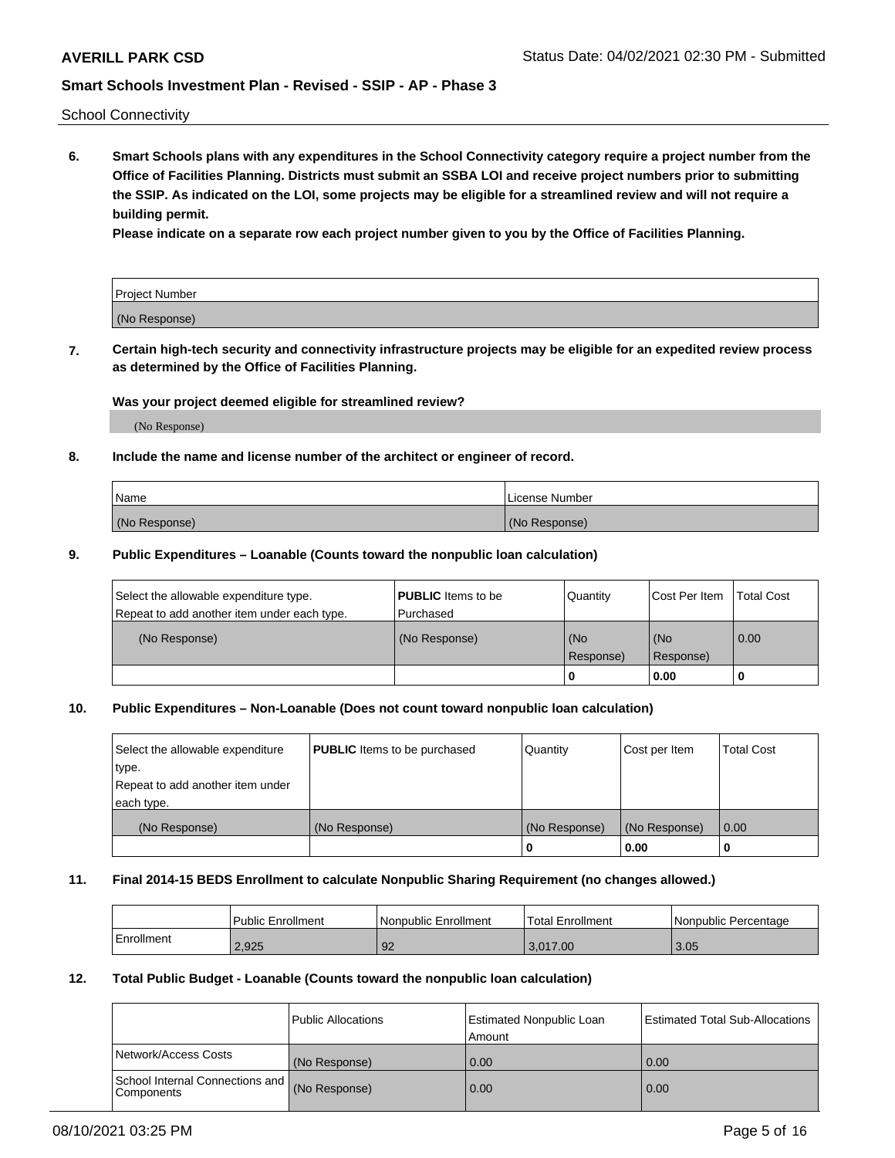School Connectivity

**6. Smart Schools plans with any expenditures in the School Connectivity category require a project number from the Office of Facilities Planning. Districts must submit an SSBA LOI and receive project numbers prior to submitting the SSIP. As indicated on the LOI, some projects may be eligible for a streamlined review and will not require a building permit.**

**Please indicate on a separate row each project number given to you by the Office of Facilities Planning.**

| Project Number |  |
|----------------|--|
| (No Response)  |  |

**7. Certain high-tech security and connectivity infrastructure projects may be eligible for an expedited review process as determined by the Office of Facilities Planning.**

### **Was your project deemed eligible for streamlined review?**

(No Response)

### **8. Include the name and license number of the architect or engineer of record.**

| Name          | License Number |
|---------------|----------------|
| (No Response) | (No Response)  |

### **9. Public Expenditures – Loanable (Counts toward the nonpublic loan calculation)**

| Select the allowable expenditure type.<br>Repeat to add another item under each type. | <b>PUBLIC</b> Items to be<br>l Purchased | Quantity           | Cost Per Item    | <b>Total Cost</b> |
|---------------------------------------------------------------------------------------|------------------------------------------|--------------------|------------------|-------------------|
| (No Response)                                                                         | (No Response)                            | l (No<br>Response) | (No<br>Response) | $\overline{0.00}$ |
|                                                                                       |                                          | O                  | 0.00             |                   |

### **10. Public Expenditures – Non-Loanable (Does not count toward nonpublic loan calculation)**

| Select the allowable expenditure<br>type.<br>Repeat to add another item under<br>each type. | <b>PUBLIC</b> Items to be purchased | Quantity      | Cost per Item | <b>Total Cost</b> |
|---------------------------------------------------------------------------------------------|-------------------------------------|---------------|---------------|-------------------|
| (No Response)                                                                               | (No Response)                       | (No Response) | (No Response) | 0.00              |
|                                                                                             |                                     |               | 0.00          |                   |

### **11. Final 2014-15 BEDS Enrollment to calculate Nonpublic Sharing Requirement (no changes allowed.)**

|            | Public Enrollment | l Nonpublic Enrollment | <b>Total Enrollment</b> | Nonpublic Percentage |
|------------|-------------------|------------------------|-------------------------|----------------------|
| Enrollment | 2.925             | 92                     | 3.017.00                | 3.05                 |

### **12. Total Public Budget - Loanable (Counts toward the nonpublic loan calculation)**

|                                                      | Public Allocations | <b>Estimated Nonpublic Loan</b><br>Amount | Estimated Total Sub-Allocations |
|------------------------------------------------------|--------------------|-------------------------------------------|---------------------------------|
| Network/Access Costs                                 | (No Response)      | 0.00                                      | 0.00                            |
| School Internal Connections and<br><b>Components</b> | (No Response)      | 0.00                                      | 0.00                            |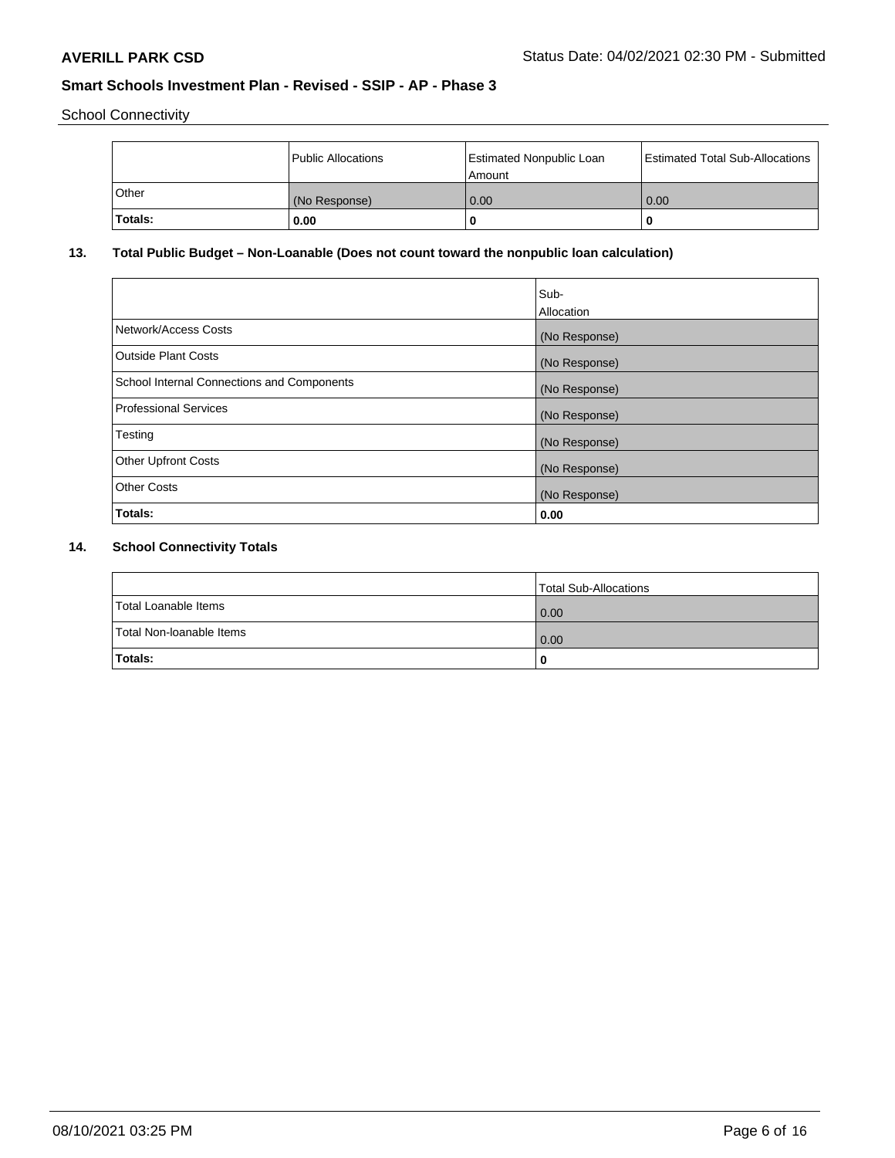School Connectivity

|         | <b>Public Allocations</b> | <b>Estimated Nonpublic Loan</b><br>Amount | <b>Estimated Total Sub-Allocations</b> |
|---------|---------------------------|-------------------------------------------|----------------------------------------|
| Other   | (No Response)             | 0.00                                      | 0.00                                   |
| Totals: | 0.00                      | 0                                         | o                                      |

## **13. Total Public Budget – Non-Loanable (Does not count toward the nonpublic loan calculation)**

|                                                   | Sub-<br>Allocation |
|---------------------------------------------------|--------------------|
| Network/Access Costs                              | (No Response)      |
| <b>Outside Plant Costs</b>                        | (No Response)      |
| <b>School Internal Connections and Components</b> | (No Response)      |
| <b>Professional Services</b>                      | (No Response)      |
| Testing                                           | (No Response)      |
| <b>Other Upfront Costs</b>                        | (No Response)      |
| <b>Other Costs</b>                                | (No Response)      |
| Totals:                                           | 0.00               |

## **14. School Connectivity Totals**

|                          | Total Sub-Allocations |
|--------------------------|-----------------------|
| Total Loanable Items     | 0.00                  |
| Total Non-Ioanable Items | 0.00                  |
| Totals:                  | 0                     |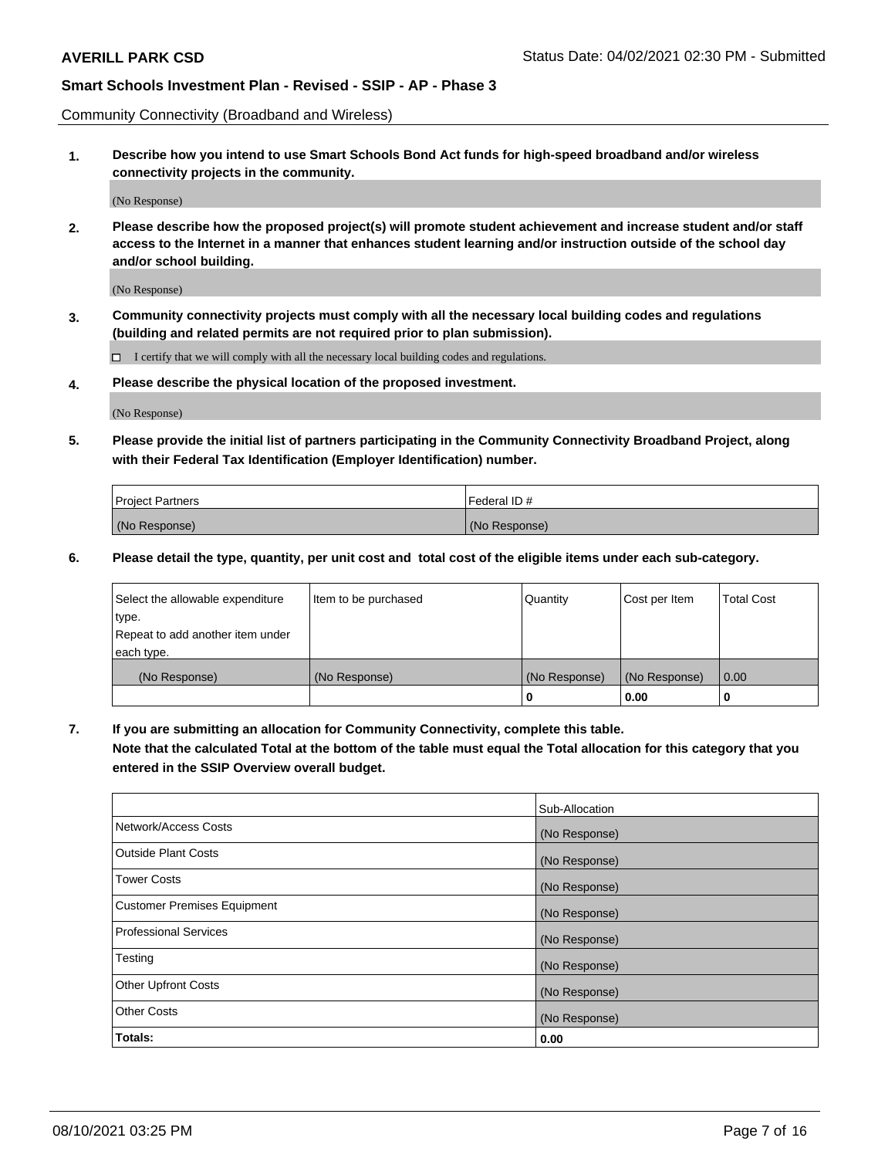Community Connectivity (Broadband and Wireless)

**1. Describe how you intend to use Smart Schools Bond Act funds for high-speed broadband and/or wireless connectivity projects in the community.**

(No Response)

**2. Please describe how the proposed project(s) will promote student achievement and increase student and/or staff access to the Internet in a manner that enhances student learning and/or instruction outside of the school day and/or school building.**

(No Response)

**3. Community connectivity projects must comply with all the necessary local building codes and regulations (building and related permits are not required prior to plan submission).**

 $\Box$  I certify that we will comply with all the necessary local building codes and regulations.

**4. Please describe the physical location of the proposed investment.**

(No Response)

**5. Please provide the initial list of partners participating in the Community Connectivity Broadband Project, along with their Federal Tax Identification (Employer Identification) number.**

| <b>Project Partners</b> | l Federal ID # |
|-------------------------|----------------|
| (No Response)           | (No Response)  |

**6. Please detail the type, quantity, per unit cost and total cost of the eligible items under each sub-category.**

| Select the allowable expenditure | Item to be purchased | Quantity      | Cost per Item | <b>Total Cost</b> |
|----------------------------------|----------------------|---------------|---------------|-------------------|
| type.                            |                      |               |               |                   |
| Repeat to add another item under |                      |               |               |                   |
| each type.                       |                      |               |               |                   |
| (No Response)                    | (No Response)        | (No Response) | (No Response) | 0.00              |
|                                  |                      | o             | 0.00          |                   |

**7. If you are submitting an allocation for Community Connectivity, complete this table.**

**Note that the calculated Total at the bottom of the table must equal the Total allocation for this category that you entered in the SSIP Overview overall budget.**

|                                    | Sub-Allocation |
|------------------------------------|----------------|
| Network/Access Costs               | (No Response)  |
| Outside Plant Costs                | (No Response)  |
| <b>Tower Costs</b>                 | (No Response)  |
| <b>Customer Premises Equipment</b> | (No Response)  |
| <b>Professional Services</b>       | (No Response)  |
| Testing                            | (No Response)  |
| <b>Other Upfront Costs</b>         | (No Response)  |
| <b>Other Costs</b>                 | (No Response)  |
| Totals:                            | 0.00           |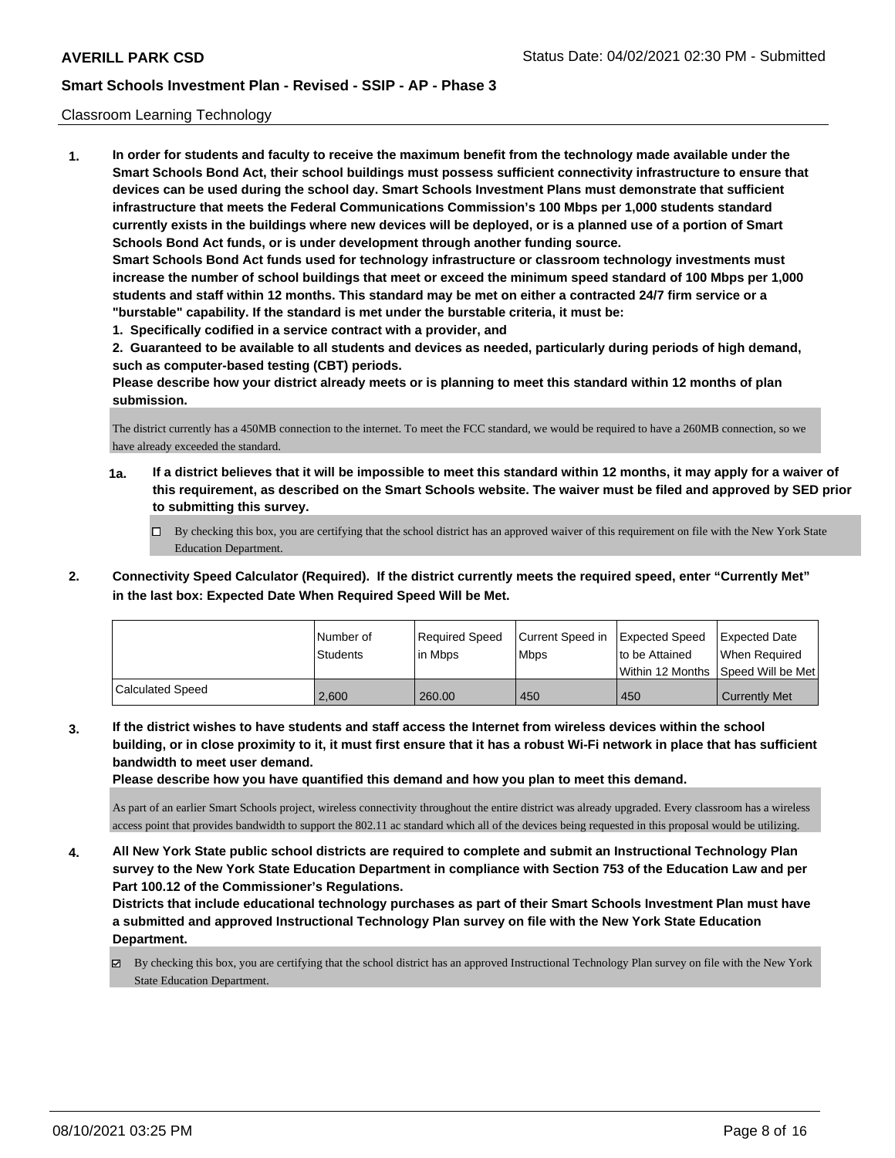### Classroom Learning Technology

**1. In order for students and faculty to receive the maximum benefit from the technology made available under the Smart Schools Bond Act, their school buildings must possess sufficient connectivity infrastructure to ensure that devices can be used during the school day. Smart Schools Investment Plans must demonstrate that sufficient infrastructure that meets the Federal Communications Commission's 100 Mbps per 1,000 students standard currently exists in the buildings where new devices will be deployed, or is a planned use of a portion of Smart Schools Bond Act funds, or is under development through another funding source. Smart Schools Bond Act funds used for technology infrastructure or classroom technology investments must increase the number of school buildings that meet or exceed the minimum speed standard of 100 Mbps per 1,000 students and staff within 12 months. This standard may be met on either a contracted 24/7 firm service or a "burstable" capability. If the standard is met under the burstable criteria, it must be:**

**1. Specifically codified in a service contract with a provider, and**

**2. Guaranteed to be available to all students and devices as needed, particularly during periods of high demand, such as computer-based testing (CBT) periods.**

**Please describe how your district already meets or is planning to meet this standard within 12 months of plan submission.**

The district currently has a 450MB connection to the internet. To meet the FCC standard, we would be required to have a 260MB connection, so we have already exceeded the standard.

- **1a. If a district believes that it will be impossible to meet this standard within 12 months, it may apply for a waiver of this requirement, as described on the Smart Schools website. The waiver must be filed and approved by SED prior to submitting this survey.**
	- By checking this box, you are certifying that the school district has an approved waiver of this requirement on file with the New York State Education Department.
- **2. Connectivity Speed Calculator (Required). If the district currently meets the required speed, enter "Currently Met" in the last box: Expected Date When Required Speed Will be Met.**

|                  | l Number of<br>Students | Required Speed<br>l in Mbps | Current Speed in<br>l Mbps | <b>Expected Speed</b><br>to be Attained | <b>Expected Date</b><br>When Required<br> Within 12 Months  Speed Will be Met |
|------------------|-------------------------|-----------------------------|----------------------------|-----------------------------------------|-------------------------------------------------------------------------------|
| Calculated Speed | 2.600                   | 260.00                      | 450                        | 450                                     | <b>Currently Met</b>                                                          |

**3. If the district wishes to have students and staff access the Internet from wireless devices within the school building, or in close proximity to it, it must first ensure that it has a robust Wi-Fi network in place that has sufficient bandwidth to meet user demand.**

**Please describe how you have quantified this demand and how you plan to meet this demand.**

As part of an earlier Smart Schools project, wireless connectivity throughout the entire district was already upgraded. Every classroom has a wireless access point that provides bandwidth to support the 802.11 ac standard which all of the devices being requested in this proposal would be utilizing.

**4. All New York State public school districts are required to complete and submit an Instructional Technology Plan survey to the New York State Education Department in compliance with Section 753 of the Education Law and per Part 100.12 of the Commissioner's Regulations.**

**Districts that include educational technology purchases as part of their Smart Schools Investment Plan must have a submitted and approved Instructional Technology Plan survey on file with the New York State Education Department.**

By checking this box, you are certifying that the school district has an approved Instructional Technology Plan survey on file with the New York State Education Department.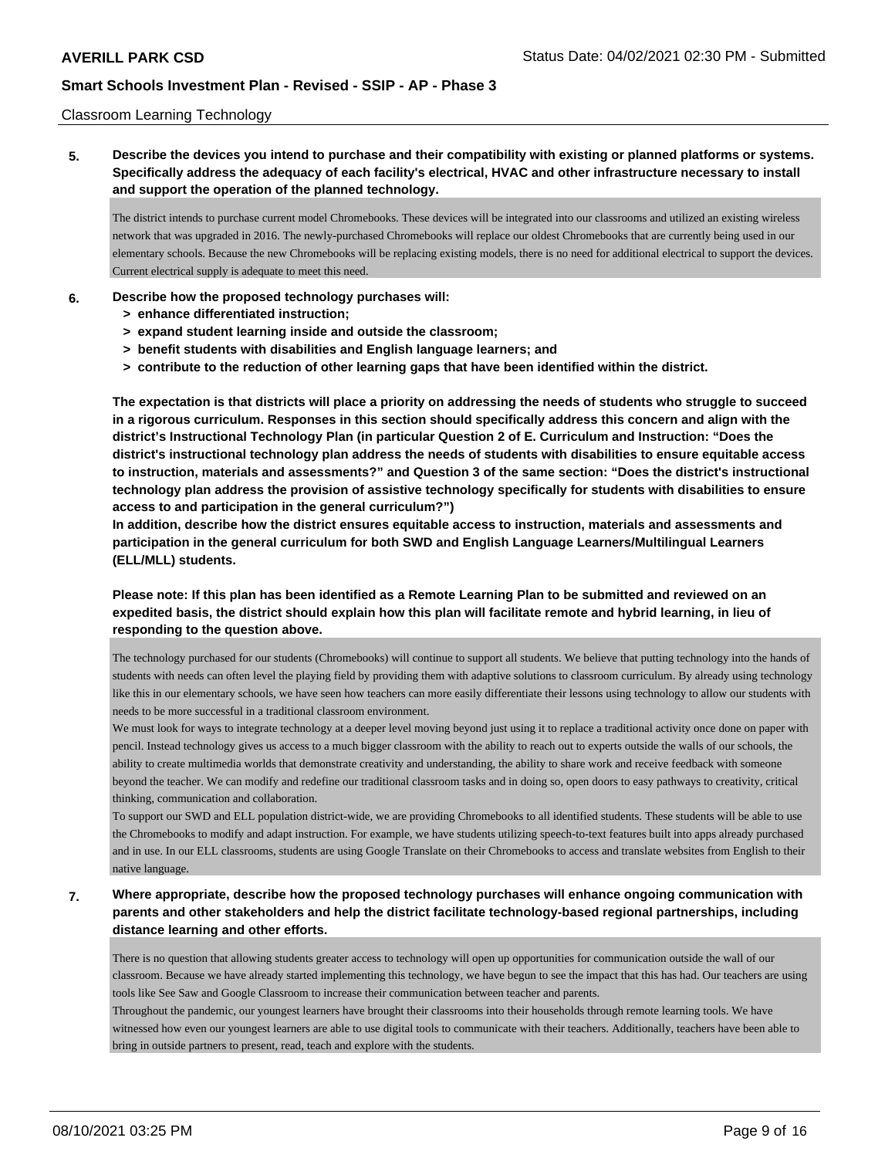### Classroom Learning Technology

**5. Describe the devices you intend to purchase and their compatibility with existing or planned platforms or systems. Specifically address the adequacy of each facility's electrical, HVAC and other infrastructure necessary to install and support the operation of the planned technology.**

The district intends to purchase current model Chromebooks. These devices will be integrated into our classrooms and utilized an existing wireless network that was upgraded in 2016. The newly-purchased Chromebooks will replace our oldest Chromebooks that are currently being used in our elementary schools. Because the new Chromebooks will be replacing existing models, there is no need for additional electrical to support the devices. Current electrical supply is adequate to meet this need.

### **6. Describe how the proposed technology purchases will:**

- **> enhance differentiated instruction;**
- **> expand student learning inside and outside the classroom;**
- **> benefit students with disabilities and English language learners; and**
- **> contribute to the reduction of other learning gaps that have been identified within the district.**

**The expectation is that districts will place a priority on addressing the needs of students who struggle to succeed in a rigorous curriculum. Responses in this section should specifically address this concern and align with the district's Instructional Technology Plan (in particular Question 2 of E. Curriculum and Instruction: "Does the district's instructional technology plan address the needs of students with disabilities to ensure equitable access to instruction, materials and assessments?" and Question 3 of the same section: "Does the district's instructional technology plan address the provision of assistive technology specifically for students with disabilities to ensure access to and participation in the general curriculum?")**

**In addition, describe how the district ensures equitable access to instruction, materials and assessments and participation in the general curriculum for both SWD and English Language Learners/Multilingual Learners (ELL/MLL) students.**

**Please note: If this plan has been identified as a Remote Learning Plan to be submitted and reviewed on an expedited basis, the district should explain how this plan will facilitate remote and hybrid learning, in lieu of responding to the question above.**

The technology purchased for our students (Chromebooks) will continue to support all students. We believe that putting technology into the hands of students with needs can often level the playing field by providing them with adaptive solutions to classroom curriculum. By already using technology like this in our elementary schools, we have seen how teachers can more easily differentiate their lessons using technology to allow our students with needs to be more successful in a traditional classroom environment.

We must look for ways to integrate technology at a deeper level moving beyond just using it to replace a traditional activity once done on paper with pencil. Instead technology gives us access to a much bigger classroom with the ability to reach out to experts outside the walls of our schools, the ability to create multimedia worlds that demonstrate creativity and understanding, the ability to share work and receive feedback with someone beyond the teacher. We can modify and redefine our traditional classroom tasks and in doing so, open doors to easy pathways to creativity, critical thinking, communication and collaboration.

To support our SWD and ELL population district-wide, we are providing Chromebooks to all identified students. These students will be able to use the Chromebooks to modify and adapt instruction. For example, we have students utilizing speech-to-text features built into apps already purchased and in use. In our ELL classrooms, students are using Google Translate on their Chromebooks to access and translate websites from English to their native language.

**7. Where appropriate, describe how the proposed technology purchases will enhance ongoing communication with parents and other stakeholders and help the district facilitate technology-based regional partnerships, including distance learning and other efforts.**

There is no question that allowing students greater access to technology will open up opportunities for communication outside the wall of our classroom. Because we have already started implementing this technology, we have begun to see the impact that this has had. Our teachers are using tools like See Saw and Google Classroom to increase their communication between teacher and parents.

Throughout the pandemic, our youngest learners have brought their classrooms into their households through remote learning tools. We have witnessed how even our youngest learners are able to use digital tools to communicate with their teachers. Additionally, teachers have been able to bring in outside partners to present, read, teach and explore with the students.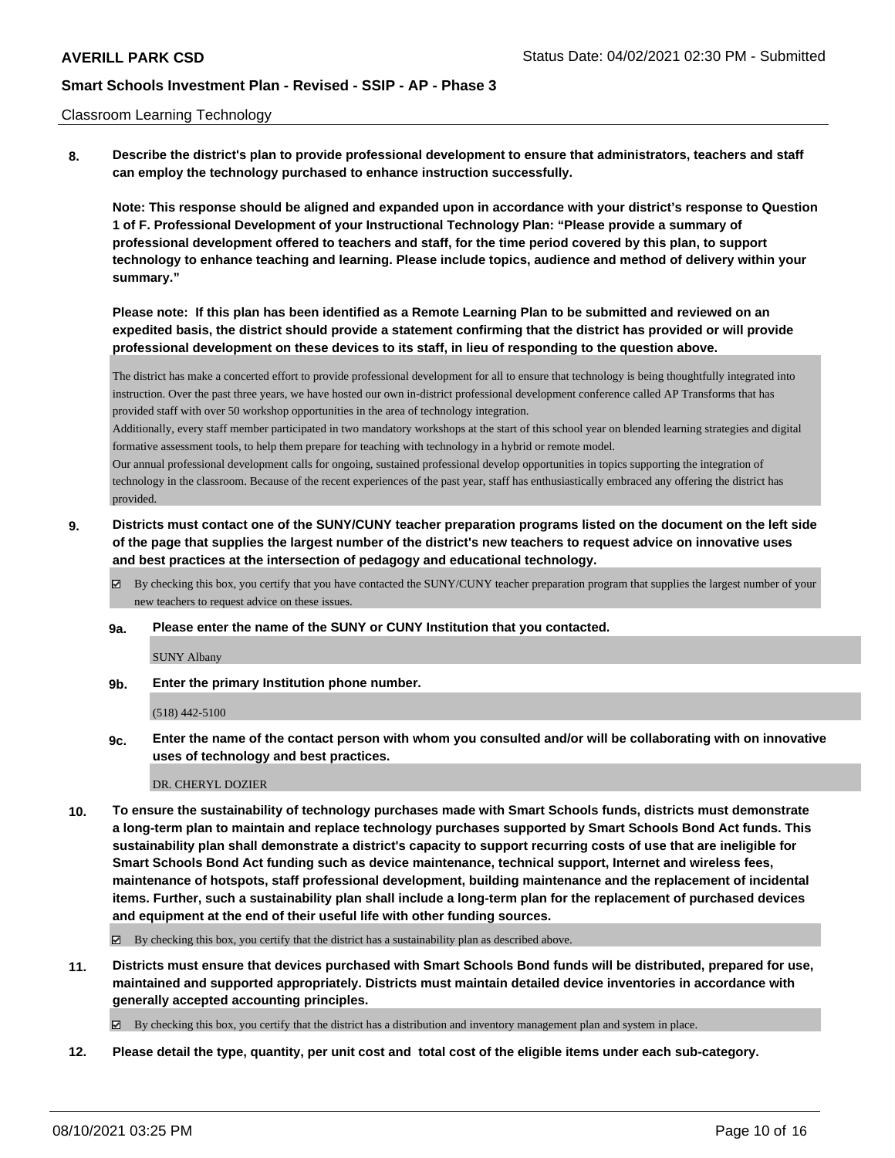### Classroom Learning Technology

**8. Describe the district's plan to provide professional development to ensure that administrators, teachers and staff can employ the technology purchased to enhance instruction successfully.**

**Note: This response should be aligned and expanded upon in accordance with your district's response to Question 1 of F. Professional Development of your Instructional Technology Plan: "Please provide a summary of professional development offered to teachers and staff, for the time period covered by this plan, to support technology to enhance teaching and learning. Please include topics, audience and method of delivery within your summary."**

**Please note: If this plan has been identified as a Remote Learning Plan to be submitted and reviewed on an expedited basis, the district should provide a statement confirming that the district has provided or will provide professional development on these devices to its staff, in lieu of responding to the question above.**

The district has make a concerted effort to provide professional development for all to ensure that technology is being thoughtfully integrated into instruction. Over the past three years, we have hosted our own in-district professional development conference called AP Transforms that has provided staff with over 50 workshop opportunities in the area of technology integration.

Additionally, every staff member participated in two mandatory workshops at the start of this school year on blended learning strategies and digital formative assessment tools, to help them prepare for teaching with technology in a hybrid or remote model.

Our annual professional development calls for ongoing, sustained professional develop opportunities in topics supporting the integration of technology in the classroom. Because of the recent experiences of the past year, staff has enthusiastically embraced any offering the district has provided.

- **9. Districts must contact one of the SUNY/CUNY teacher preparation programs listed on the document on the left side of the page that supplies the largest number of the district's new teachers to request advice on innovative uses and best practices at the intersection of pedagogy and educational technology.**
	- By checking this box, you certify that you have contacted the SUNY/CUNY teacher preparation program that supplies the largest number of your new teachers to request advice on these issues.
	- **9a. Please enter the name of the SUNY or CUNY Institution that you contacted.**

SUNY Albany

**9b. Enter the primary Institution phone number.**

(518) 442-5100

**9c. Enter the name of the contact person with whom you consulted and/or will be collaborating with on innovative uses of technology and best practices.**

#### DR. CHERYL DOZIER

**10. To ensure the sustainability of technology purchases made with Smart Schools funds, districts must demonstrate a long-term plan to maintain and replace technology purchases supported by Smart Schools Bond Act funds. This sustainability plan shall demonstrate a district's capacity to support recurring costs of use that are ineligible for Smart Schools Bond Act funding such as device maintenance, technical support, Internet and wireless fees, maintenance of hotspots, staff professional development, building maintenance and the replacement of incidental items. Further, such a sustainability plan shall include a long-term plan for the replacement of purchased devices and equipment at the end of their useful life with other funding sources.**

 $\boxtimes$  By checking this box, you certify that the district has a sustainability plan as described above.

**11. Districts must ensure that devices purchased with Smart Schools Bond funds will be distributed, prepared for use, maintained and supported appropriately. Districts must maintain detailed device inventories in accordance with generally accepted accounting principles.**

By checking this box, you certify that the district has a distribution and inventory management plan and system in place.

**12. Please detail the type, quantity, per unit cost and total cost of the eligible items under each sub-category.**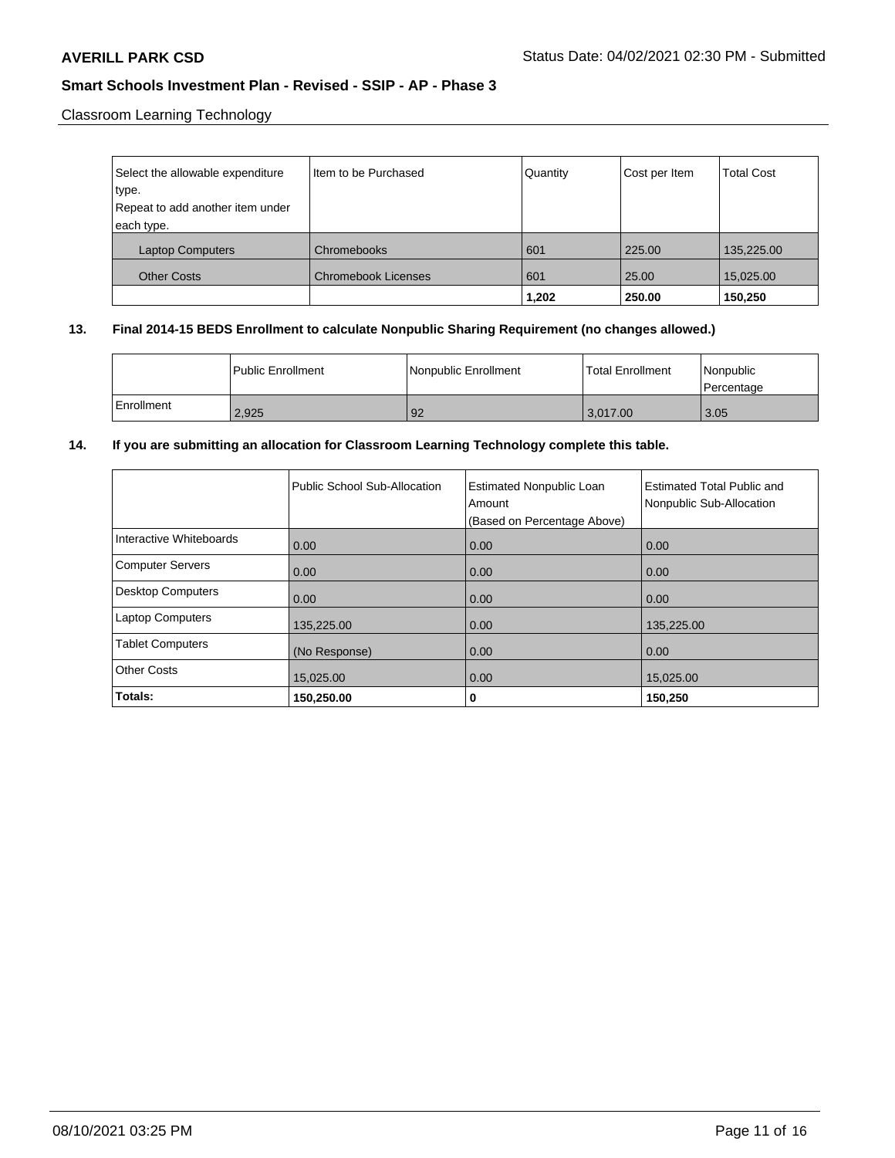Classroom Learning Technology

| Select the allowable expenditure | Item to be Purchased       | Quantity | Cost per Item | <b>Total Cost</b> |
|----------------------------------|----------------------------|----------|---------------|-------------------|
| type.                            |                            |          |               |                   |
| Repeat to add another item under |                            |          |               |                   |
| each type.                       |                            |          |               |                   |
| <b>Laptop Computers</b>          | Chromebooks                | 601      | 225.00        | 135,225.00        |
| <b>Other Costs</b>               | <b>Chromebook Licenses</b> | 601      | 25.00         | 15,025.00         |
|                                  |                            | 1,202    | 250.00        | 150,250           |

## **13. Final 2014-15 BEDS Enrollment to calculate Nonpublic Sharing Requirement (no changes allowed.)**

|              | <b>I Public Enrollment</b> | Nonpublic Enrollment | Total Enrollment | l Nonpublic<br>Percentage |
|--------------|----------------------------|----------------------|------------------|---------------------------|
| l Enrollment | 2.925                      | 92                   | 3.017.00         | 3.05                      |

## **14. If you are submitting an allocation for Classroom Learning Technology complete this table.**

|                          | Public School Sub-Allocation | <b>Estimated Nonpublic Loan</b><br>Amount<br>(Based on Percentage Above) | <b>Estimated Total Public and</b><br>Nonpublic Sub-Allocation |
|--------------------------|------------------------------|--------------------------------------------------------------------------|---------------------------------------------------------------|
| Interactive Whiteboards  | 0.00                         | 0.00                                                                     | 0.00                                                          |
| <b>Computer Servers</b>  | 0.00                         | 0.00                                                                     | 0.00                                                          |
| <b>Desktop Computers</b> | 0.00                         | 0.00                                                                     | 0.00                                                          |
| <b>Laptop Computers</b>  | 135,225.00                   | 0.00                                                                     | 135,225.00                                                    |
| <b>Tablet Computers</b>  | (No Response)                | 0.00                                                                     | 0.00                                                          |
| <b>Other Costs</b>       | 15,025.00                    | 0.00                                                                     | 15,025.00                                                     |
| Totals:                  | 150,250.00                   | 0                                                                        | 150,250                                                       |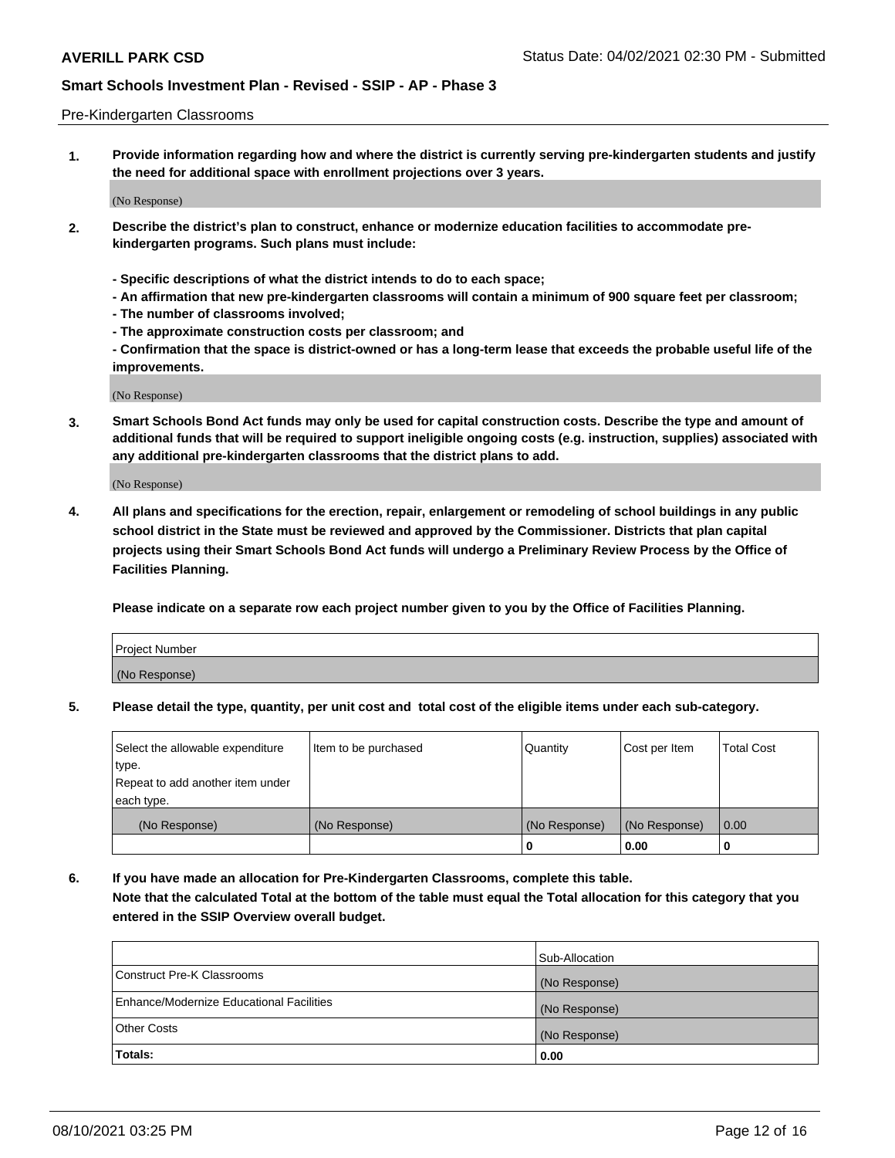### Pre-Kindergarten Classrooms

**1. Provide information regarding how and where the district is currently serving pre-kindergarten students and justify the need for additional space with enrollment projections over 3 years.**

(No Response)

- **2. Describe the district's plan to construct, enhance or modernize education facilities to accommodate prekindergarten programs. Such plans must include:**
	- **Specific descriptions of what the district intends to do to each space;**
	- **An affirmation that new pre-kindergarten classrooms will contain a minimum of 900 square feet per classroom;**
	- **The number of classrooms involved;**
	- **The approximate construction costs per classroom; and**
	- **Confirmation that the space is district-owned or has a long-term lease that exceeds the probable useful life of the improvements.**

(No Response)

**3. Smart Schools Bond Act funds may only be used for capital construction costs. Describe the type and amount of additional funds that will be required to support ineligible ongoing costs (e.g. instruction, supplies) associated with any additional pre-kindergarten classrooms that the district plans to add.**

(No Response)

**4. All plans and specifications for the erection, repair, enlargement or remodeling of school buildings in any public school district in the State must be reviewed and approved by the Commissioner. Districts that plan capital projects using their Smart Schools Bond Act funds will undergo a Preliminary Review Process by the Office of Facilities Planning.**

**Please indicate on a separate row each project number given to you by the Office of Facilities Planning.**

| Project Number |  |
|----------------|--|
| (No Response)  |  |
|                |  |

**5. Please detail the type, quantity, per unit cost and total cost of the eligible items under each sub-category.**

| Select the allowable expenditure | Item to be purchased | Quantity      | Cost per Item | <b>Total Cost</b> |
|----------------------------------|----------------------|---------------|---------------|-------------------|
| type.                            |                      |               |               |                   |
| Repeat to add another item under |                      |               |               |                   |
| each type.                       |                      |               |               |                   |
| (No Response)                    | (No Response)        | (No Response) | (No Response) | 0.00              |
|                                  |                      | U             | 0.00          |                   |

**6. If you have made an allocation for Pre-Kindergarten Classrooms, complete this table. Note that the calculated Total at the bottom of the table must equal the Total allocation for this category that you entered in the SSIP Overview overall budget.**

| Totals:                                  | 0.00           |
|------------------------------------------|----------------|
| <b>Other Costs</b>                       | (No Response)  |
| Enhance/Modernize Educational Facilities | (No Response)  |
| Construct Pre-K Classrooms               | (No Response)  |
|                                          | Sub-Allocation |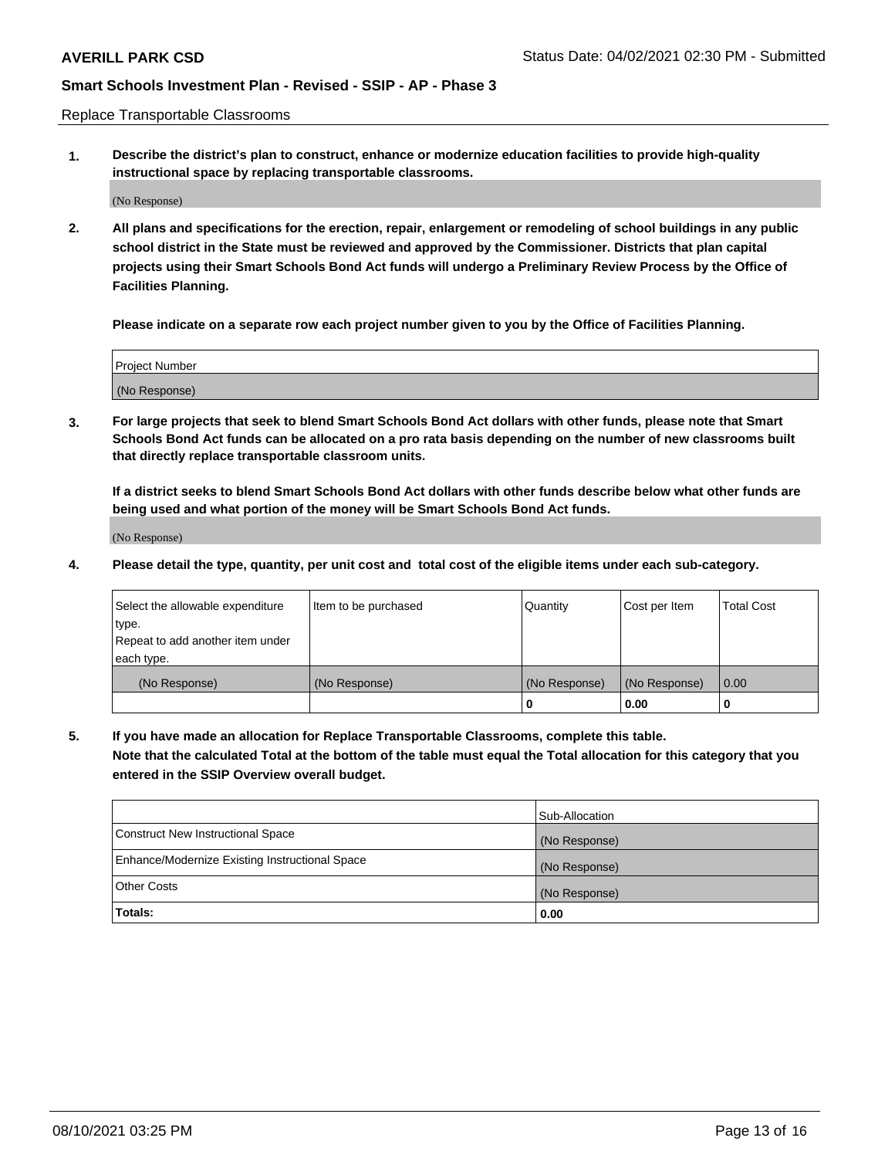Replace Transportable Classrooms

**1. Describe the district's plan to construct, enhance or modernize education facilities to provide high-quality instructional space by replacing transportable classrooms.**

(No Response)

**2. All plans and specifications for the erection, repair, enlargement or remodeling of school buildings in any public school district in the State must be reviewed and approved by the Commissioner. Districts that plan capital projects using their Smart Schools Bond Act funds will undergo a Preliminary Review Process by the Office of Facilities Planning.**

**Please indicate on a separate row each project number given to you by the Office of Facilities Planning.**

| Project Number |  |
|----------------|--|
|                |  |
|                |  |
|                |  |
|                |  |
| (No Response)  |  |
|                |  |
|                |  |
|                |  |

**3. For large projects that seek to blend Smart Schools Bond Act dollars with other funds, please note that Smart Schools Bond Act funds can be allocated on a pro rata basis depending on the number of new classrooms built that directly replace transportable classroom units.**

**If a district seeks to blend Smart Schools Bond Act dollars with other funds describe below what other funds are being used and what portion of the money will be Smart Schools Bond Act funds.**

(No Response)

**4. Please detail the type, quantity, per unit cost and total cost of the eligible items under each sub-category.**

| Select the allowable expenditure | Item to be purchased | Quantity      | Cost per Item | Total Cost |
|----------------------------------|----------------------|---------------|---------------|------------|
| ∣type.                           |                      |               |               |            |
| Repeat to add another item under |                      |               |               |            |
| each type.                       |                      |               |               |            |
| (No Response)                    | (No Response)        | (No Response) | (No Response) | 0.00       |
|                                  |                      | u             | 0.00          |            |

**5. If you have made an allocation for Replace Transportable Classrooms, complete this table. Note that the calculated Total at the bottom of the table must equal the Total allocation for this category that you entered in the SSIP Overview overall budget.**

|                                                | Sub-Allocation |
|------------------------------------------------|----------------|
| Construct New Instructional Space              | (No Response)  |
| Enhance/Modernize Existing Instructional Space | (No Response)  |
| Other Costs                                    | (No Response)  |
| Totals:                                        | 0.00           |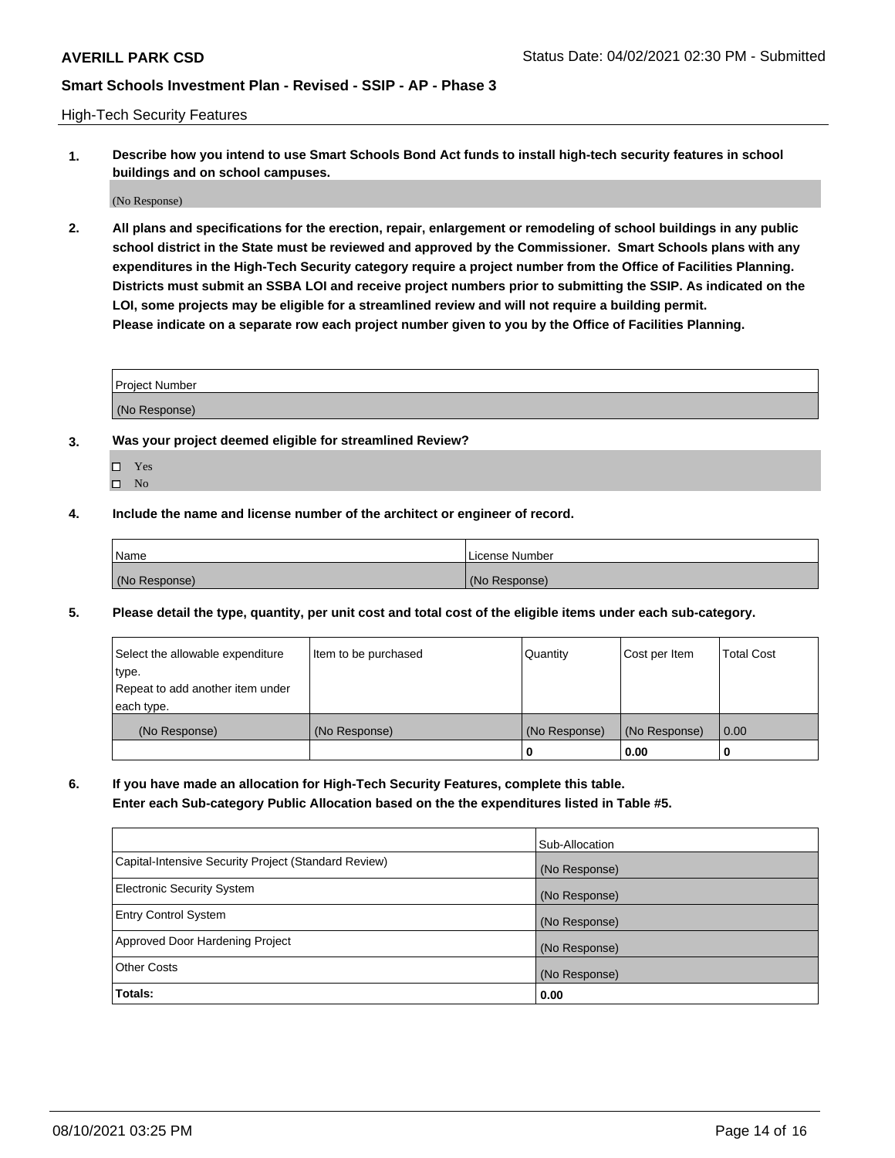High-Tech Security Features

**1. Describe how you intend to use Smart Schools Bond Act funds to install high-tech security features in school buildings and on school campuses.**

(No Response)

**2. All plans and specifications for the erection, repair, enlargement or remodeling of school buildings in any public school district in the State must be reviewed and approved by the Commissioner. Smart Schools plans with any expenditures in the High-Tech Security category require a project number from the Office of Facilities Planning. Districts must submit an SSBA LOI and receive project numbers prior to submitting the SSIP. As indicated on the LOI, some projects may be eligible for a streamlined review and will not require a building permit. Please indicate on a separate row each project number given to you by the Office of Facilities Planning.**

| <b>Project Number</b> |  |
|-----------------------|--|
| (No Response)         |  |

- **3. Was your project deemed eligible for streamlined Review?**
	- Yes
	- $\hfill \square$  No
- **4. Include the name and license number of the architect or engineer of record.**

| Name          | License Number |
|---------------|----------------|
| (No Response) | (No Response)  |

**5. Please detail the type, quantity, per unit cost and total cost of the eligible items under each sub-category.**

| Select the allowable expenditure | Item to be purchased | Quantity      | Cost per Item | <b>Total Cost</b> |
|----------------------------------|----------------------|---------------|---------------|-------------------|
| type.                            |                      |               |               |                   |
| Repeat to add another item under |                      |               |               |                   |
| each type.                       |                      |               |               |                   |
| (No Response)                    | (No Response)        | (No Response) | (No Response) | 0.00              |
|                                  |                      | 0             | 0.00          |                   |

**6. If you have made an allocation for High-Tech Security Features, complete this table.**

**Enter each Sub-category Public Allocation based on the the expenditures listed in Table #5.**

|                                                      | Sub-Allocation |
|------------------------------------------------------|----------------|
| Capital-Intensive Security Project (Standard Review) | (No Response)  |
| <b>Electronic Security System</b>                    | (No Response)  |
| <b>Entry Control System</b>                          | (No Response)  |
| Approved Door Hardening Project                      | (No Response)  |
| <b>Other Costs</b>                                   | (No Response)  |
| Totals:                                              | 0.00           |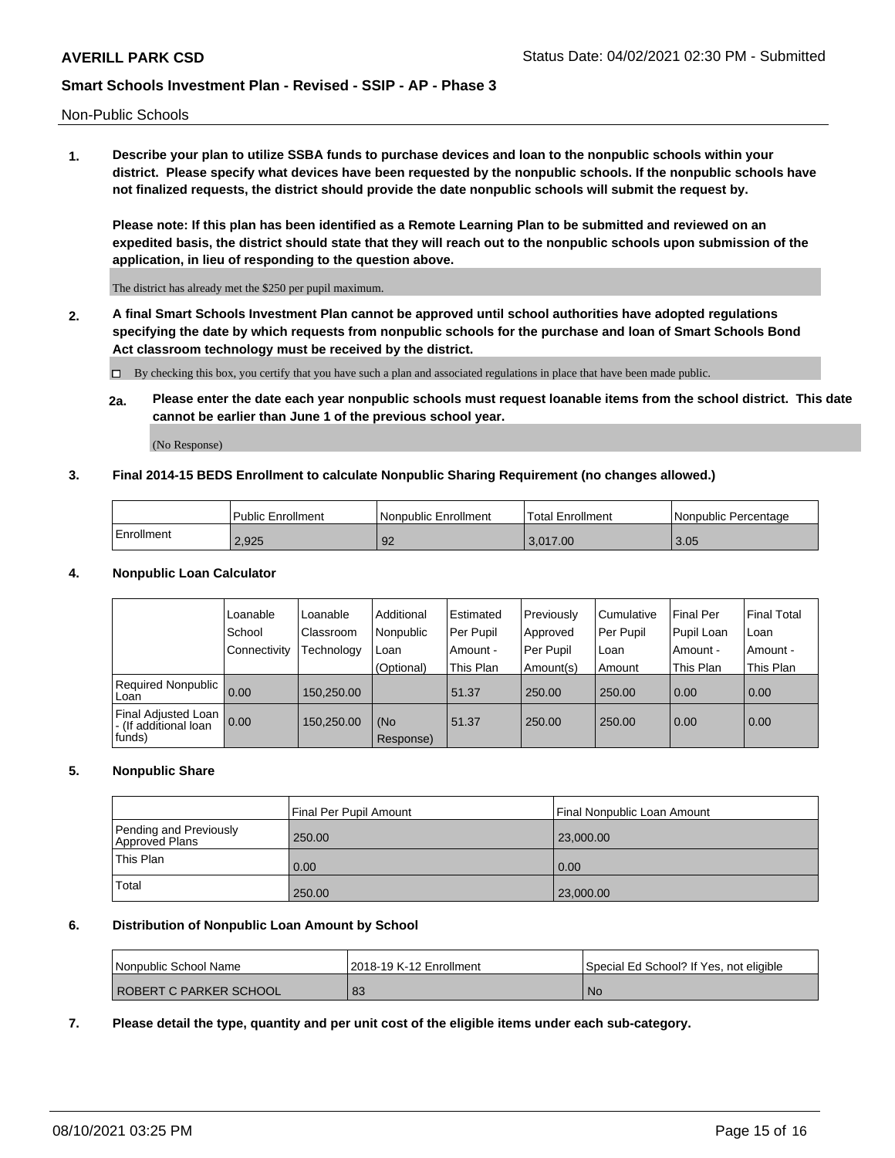Non-Public Schools

**1. Describe your plan to utilize SSBA funds to purchase devices and loan to the nonpublic schools within your district. Please specify what devices have been requested by the nonpublic schools. If the nonpublic schools have not finalized requests, the district should provide the date nonpublic schools will submit the request by.**

**Please note: If this plan has been identified as a Remote Learning Plan to be submitted and reviewed on an expedited basis, the district should state that they will reach out to the nonpublic schools upon submission of the application, in lieu of responding to the question above.**

The district has already met the \$250 per pupil maximum.

**2. A final Smart Schools Investment Plan cannot be approved until school authorities have adopted regulations specifying the date by which requests from nonpublic schools for the purchase and loan of Smart Schools Bond Act classroom technology must be received by the district.**

By checking this box, you certify that you have such a plan and associated regulations in place that have been made public.

**2a. Please enter the date each year nonpublic schools must request loanable items from the school district. This date cannot be earlier than June 1 of the previous school year.**

(No Response)

### **3. Final 2014-15 BEDS Enrollment to calculate Nonpublic Sharing Requirement (no changes allowed.)**

|              | <b>Public Enrollment</b> | <b>Nonpublic Enrollment</b> | Total Enrollment | Nonpublic Percentage |
|--------------|--------------------------|-----------------------------|------------------|----------------------|
| l Enrollment | 2.925                    | 92                          | 3.017.00         | 3.05                 |

### **4. Nonpublic Loan Calculator**

|                                                          | 'Loanable      | Loanable   | Additional       | Estimated | Previously | l Cumulative | <b>Final Per</b> | <b>Final Total</b> |
|----------------------------------------------------------|----------------|------------|------------------|-----------|------------|--------------|------------------|--------------------|
|                                                          | School         | Classroom  | Nonpublic        | Per Pupil | Approved   | Per Pupil    | Pupil Loan       | Loan               |
|                                                          | l Connectivity | Fechnology | Loan             | Amount -  | Per Pupil  | l Loan       | Amount -         | Amount -           |
|                                                          |                |            | (Optional)       | This Plan | Amount(s)  | Amount       | This Plan        | This Plan          |
| Required Nonpublic 0.00<br>Loan                          |                | 150.250.00 |                  | 51.37     | 250.00     | 250.00       | 0.00             | 0.00               |
| Final Adjusted Loan  <br>- (If additional loan<br>funds) | 0.00           | 150,250.00 | (No<br>Response) | 51.37     | 250.00     | 250.00       | 0.00             | 0.00               |

### **5. Nonpublic Share**

|                                          | Final Per Pupil Amount | Final Nonpublic Loan Amount |
|------------------------------------------|------------------------|-----------------------------|
| Pending and Previously<br>Approved Plans | 250.00                 | 23,000.00                   |
| <b>This Plan</b>                         | 0.00                   | 0.00                        |
| Total                                    | 250.00                 | 23,000.00                   |

### **6. Distribution of Nonpublic Loan Amount by School**

| l Nonpublic School Name       | 2018-19 K-12 Enrollment | Special Ed School? If Yes, not eligible |
|-------------------------------|-------------------------|-----------------------------------------|
| <b>ROBERT C PARKER SCHOOL</b> | 83                      | <b>No</b>                               |

**7. Please detail the type, quantity and per unit cost of the eligible items under each sub-category.**